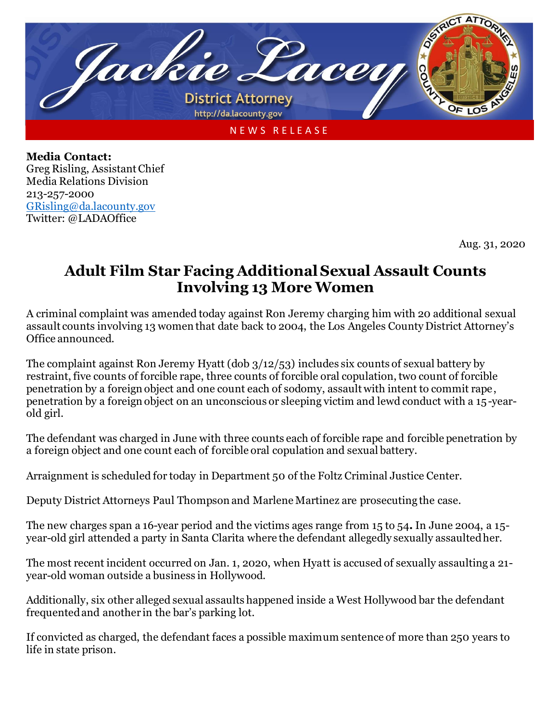

**Media Contact:** Greg Risling, Assistant Chief Media Relations Division 213-257-2000 [GRisling@da.lacounty.gov](mailto:GRisling@da.lacounty.gov) Twitter: @LADAOffice

Aug. 31, 2020

## **Adult Film Star Facing Additional Sexual Assault Counts Involving 13 More Women**

A criminal complaint was amended today against Ron Jeremy charging him with 20 additional sexual assault counts involving 13 women that date back to 2004, the Los Angeles County District Attorney's Office announced.

The complaint against Ron Jeremy Hyatt (dob 3/12/53) includes six counts of sexual battery by restraint, five counts of forcible rape, three counts of forcible oral copulation, two count of forcible penetration by a foreign object and one count each of sodomy, assault with intent to commit rape, penetration by a foreign object on an unconscious or sleeping victim and lewd conduct with a 15-yearold girl.

The defendant was charged in June with three counts each of forcible rape and forcible penetration by a foreign object and one count each of forcible oral copulation and sexual battery.

Arraignment is scheduled for today in Department 50 of the Foltz Criminal Justice Center.

Deputy District Attorneys Paul Thompson and Marlene Martinez are prosecuting the case.

The new charges span a 16-year period and the victims ages range from 15 to 54**.** In June 2004, a 15 year-old girl attended a party in Santa Clarita where the defendant allegedly sexually assaulted her.

The most recent incident occurred on Jan. 1, 2020, when Hyatt is accused of sexually assaulting a 21 year-old woman outside a business in Hollywood.

Additionally, six other alleged sexual assaults happened inside a West Hollywood bar the defendant frequented and another in the bar's parking lot.

If convicted as charged, the defendant faces a possible maximum sentence of more than 250 years to life in state prison.